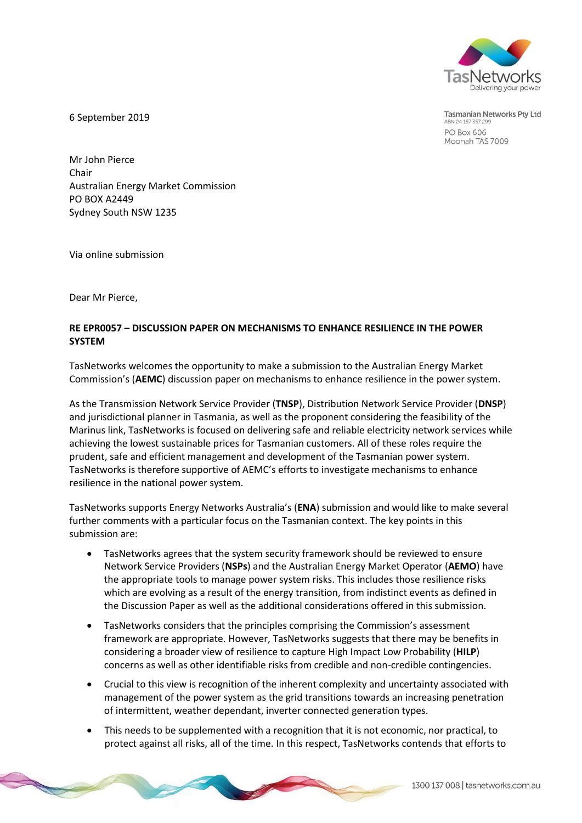

Tasmanian Networks Pty Ltd ABN 24 167 357 299 PO Box 606 Moonah TAS 7009

6 September 2019

Mr John Pierce Chair Australian Energy Market Commission PO BOX A2449 Sydney South NSW 1235

Via online submission

Dear Mr Pierce,

# **RE EPR0057 – DISCUSSION PAPER ON MECHANISMS TO ENHANCE RESILIENCE IN THE POWER SYSTEM**

TasNetworks welcomes the opportunity to make a submission to the Australian Energy Market Commission's (**AEMC**) discussion paper on mechanisms to enhance resilience in the power system.

As the Transmission Network Service Provider (**TNSP**), Distribution Network Service Provider (**DNSP**) and jurisdictional planner in Tasmania, as well as the proponent considering the feasibility of the Marinus link, TasNetworks is focused on delivering safe and reliable electricity network services while achieving the lowest sustainable prices for Tasmanian customers. All of these roles require the prudent, safe and efficient management and development of the Tasmanian power system. TasNetworks is therefore supportive of AEMC's efforts to investigate mechanisms to enhance resilience in the national power system.

TasNetworks supports Energy Networks Australia's (**ENA**) submission and would like to make several further comments with a particular focus on the Tasmanian context. The key points in this submission are:

- TasNetworks agrees that the system security framework should be reviewed to ensure Network Service Providers (**NSPs**) and the Australian Energy Market Operator (**AEMO**) have the appropriate tools to manage power system risks. This includes those resilience risks which are evolving as a result of the energy transition, from indistinct events as defined in the Discussion Paper as well as the additional considerations offered in this submission.
- TasNetworks considers that the principles comprising the Commission's assessment framework are appropriate. However, TasNetworks suggests that there may be benefits in considering a broader view of resilience to capture High Impact Low Probability (**HILP**) concerns as well as other identifiable risks from credible and non-credible contingencies.
- Crucial to this view is recognition of the inherent complexity and uncertainty associated with management of the power system as the grid transitions towards an increasing penetration of intermittent, weather dependant, inverter connected generation types.
- This needs to be supplemented with a recognition that it is not economic, nor practical, to protect against all risks, all of the time. In this respect, TasNetworks contends that efforts to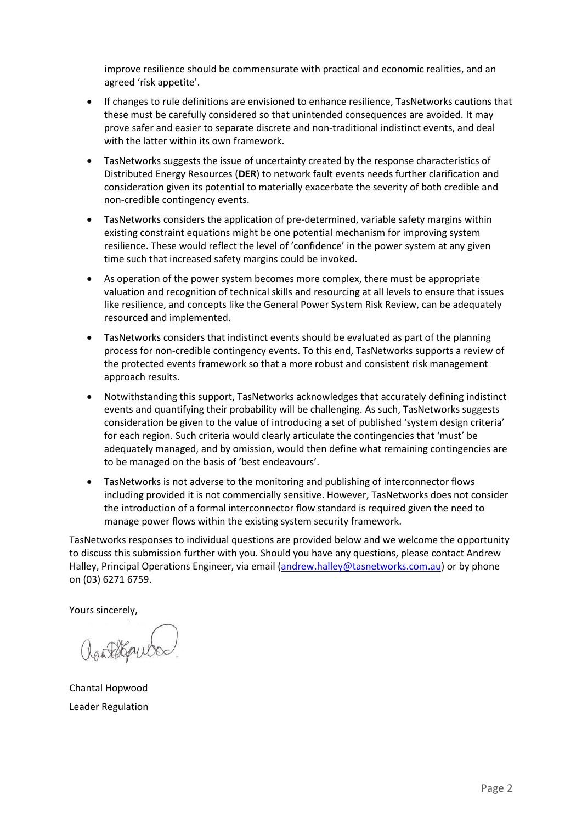improve resilience should be commensurate with practical and economic realities, and an agreed 'risk appetite'.

- If changes to rule definitions are envisioned to enhance resilience, TasNetworks cautions that these must be carefully considered so that unintended consequences are avoided. It may prove safer and easier to separate discrete and non-traditional indistinct events, and deal with the latter within its own framework.
- TasNetworks suggests the issue of uncertainty created by the response characteristics of Distributed Energy Resources (**DER**) to network fault events needs further clarification and consideration given its potential to materially exacerbate the severity of both credible and non-credible contingency events.
- TasNetworks considers the application of pre-determined, variable safety margins within existing constraint equations might be one potential mechanism for improving system resilience. These would reflect the level of 'confidence' in the power system at any given time such that increased safety margins could be invoked.
- As operation of the power system becomes more complex, there must be appropriate valuation and recognition of technical skills and resourcing at all levels to ensure that issues like resilience, and concepts like the General Power System Risk Review, can be adequately resourced and implemented.
- TasNetworks considers that indistinct events should be evaluated as part of the planning process for non-credible contingency events. To this end, TasNetworks supports a review of the protected events framework so that a more robust and consistent risk management approach results.
- Notwithstanding this support, TasNetworks acknowledges that accurately defining indistinct events and quantifying their probability will be challenging. As such, TasNetworks suggests consideration be given to the value of introducing a set of published 'system design criteria' for each region. Such criteria would clearly articulate the contingencies that 'must' be adequately managed, and by omission, would then define what remaining contingencies are to be managed on the basis of 'best endeavours'.
- TasNetworks is not adverse to the monitoring and publishing of interconnector flows including provided it is not commercially sensitive. However, TasNetworks does not consider the introduction of a formal interconnector flow standard is required given the need to manage power flows within the existing system security framework.

TasNetworks responses to individual questions are provided below and we welcome the opportunity to discuss this submission further with you. Should you have any questions, please contact Andrew Halley, Principal Operations Engineer, via email [\(andrew.halley@tasnetworks.com.au\)](mailto:andrew.halley@tasnetworks.com.au) or by phone on (03) 6271 6759.

Yours sincerely,

Chantal Hopwood Leader Regulation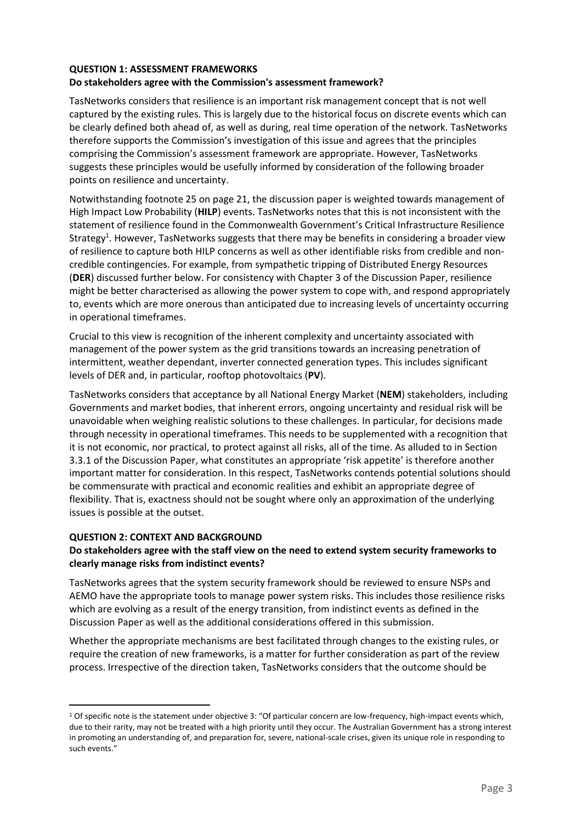#### **QUESTION 1: ASSESSMENT FRAMEWORKS Do stakeholders agree with the Commission's assessment framework?**

TasNetworks considers that resilience is an important risk management concept that is not well captured by the existing rules. This is largely due to the historical focus on discrete events which can be clearly defined both ahead of, as well as during, real time operation of the network. TasNetworks therefore supports the Commission's investigation of this issue and agrees that the principles comprising the Commission's assessment framework are appropriate. However, TasNetworks suggests these principles would be usefully informed by consideration of the following broader points on resilience and uncertainty.

Notwithstanding footnote 25 on page 21, the discussion paper is weighted towards management of High Impact Low Probability (**HILP**) events. TasNetworks notes that this is not inconsistent with the statement of resilience found in the Commonwealth Government's Critical Infrastructure Resilience Strategy<sup>1</sup>. However, TasNetworks suggests that there may be benefits in considering a broader view of resilience to capture both HILP concerns as well as other identifiable risks from credible and noncredible contingencies. For example, from sympathetic tripping of Distributed Energy Resources (**DER**) discussed further below. For consistency with Chapter 3 of the Discussion Paper, resilience might be better characterised as allowing the power system to cope with, and respond appropriately to, events which are more onerous than anticipated due to increasing levels of uncertainty occurring in operational timeframes.

Crucial to this view is recognition of the inherent complexity and uncertainty associated with management of the power system as the grid transitions towards an increasing penetration of intermittent, weather dependant, inverter connected generation types. This includes significant levels of DER and, in particular, rooftop photovoltaics (**PV**).

TasNetworks considers that acceptance by all National Energy Market (**NEM**) stakeholders, including Governments and market bodies, that inherent errors, ongoing uncertainty and residual risk will be unavoidable when weighing realistic solutions to these challenges. In particular, for decisions made through necessity in operational timeframes. This needs to be supplemented with a recognition that it is not economic, nor practical, to protect against all risks, all of the time. As alluded to in Section 3.3.1 of the Discussion Paper, what constitutes an appropriate 'risk appetite' is therefore another important matter for consideration. In this respect, TasNetworks contends potential solutions should be commensurate with practical and economic realities and exhibit an appropriate degree of flexibility. That is, exactness should not be sought where only an approximation of the underlying issues is possible at the outset.

# **QUESTION 2: CONTEXT AND BACKGROUND**

 $\overline{a}$ 

# **Do stakeholders agree with the staff view on the need to extend system security frameworks to clearly manage risks from indistinct events?**

TasNetworks agrees that the system security framework should be reviewed to ensure NSPs and AEMO have the appropriate tools to manage power system risks. This includes those resilience risks which are evolving as a result of the energy transition, from indistinct events as defined in the Discussion Paper as well as the additional considerations offered in this submission.

Whether the appropriate mechanisms are best facilitated through changes to the existing rules, or require the creation of new frameworks, is a matter for further consideration as part of the review process. Irrespective of the direction taken, TasNetworks considers that the outcome should be

<sup>1</sup> Of specific note is the statement under objective 3: "Of particular concern are low-frequency, high-impact events which, due to their rarity, may not be treated with a high priority until they occur. The Australian Government has a strong interest in promoting an understanding of, and preparation for, severe, national-scale crises, given its unique role in responding to such events."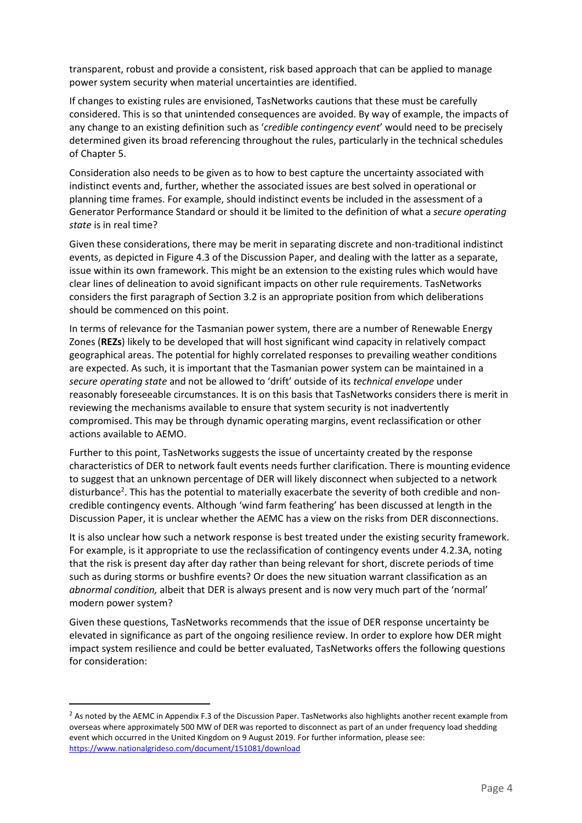transparent, robust and provide a consistent, risk based approach that can be applied to manage power system security when material uncertainties are identified.

If changes to existing rules are envisioned, TasNetworks cautions that these must be carefully considered. This is so that unintended consequences are avoided. By way of example, the impacts of any change to an existing definition such as '*credible contingency event*' would need to be precisely determined given its broad referencing throughout the rules, particularly in the technical schedules of Chapter 5.

Consideration also needs to be given as to how to best capture the uncertainty associated with indistinct events and, further, whether the associated issues are best solved in operational or planning time frames. For example, should indistinct events be included in the assessment of a Generator Performance Standard or should it be limited to the definition of what a *secure operating state* is in real time?

Given these considerations, there may be merit in separating discrete and non-traditional indistinct events, as depicted in Figure 4.3 of the Discussion Paper, and dealing with the latter as a separate, issue within its own framework. This might be an extension to the existing rules which would have clear lines of delineation to avoid significant impacts on other rule requirements. TasNetworks considers the first paragraph of Section 3.2 is an appropriate position from which deliberations should be commenced on this point.

In terms of relevance for the Tasmanian power system, there are a number of Renewable Energy Zones (**REZs**) likely to be developed that will host significant wind capacity in relatively compact geographical areas. The potential for highly correlated responses to prevailing weather conditions are expected. As such, it is important that the Tasmanian power system can be maintained in a *secure operating state* and not be allowed to 'drift' outside of its *technical envelope* under reasonably foreseeable circumstances. It is on this basis that TasNetworks considers there is merit in reviewing the mechanisms available to ensure that system security is not inadvertently compromised. This may be through dynamic operating margins, event reclassification or other actions available to AEMO.

Further to this point, TasNetworks suggests the issue of uncertainty created by the response characteristics of DER to network fault events needs further clarification. There is mounting evidence to suggest that an unknown percentage of DER will likely disconnect when subjected to a network disturbance<sup>2</sup>. This has the potential to materially exacerbate the severity of both credible and noncredible contingency events. Although 'wind farm feathering' has been discussed at length in the Discussion Paper, it is unclear whether the AEMC has a view on the risks from DER disconnections.

It is also unclear how such a network response is best treated under the existing security framework. For example, is it appropriate to use the reclassification of contingency events under 4.2.3A, noting that the risk is present day after day rather than being relevant for short, discrete periods of time such as during storms or bushfire events? Or does the new situation warrant classification as an *abnormal condition,* albeit that DER is always present and is now very much part of the 'normal' modern power system?

Given these questions, TasNetworks recommends that the issue of DER response uncertainty be elevated in significance as part of the ongoing resilience review. In order to explore how DER might impact system resilience and could be better evaluated, TasNetworks offers the following questions for consideration:

 $\overline{a}$ 

<sup>&</sup>lt;sup>2</sup> As noted by the AEMC in Appendix F.3 of the Discussion Paper. TasNetworks also highlights another recent example from overseas where approximately 500 MW of DER was reported to disconnect as part of an under frequency load shedding event which occurred in the United Kingdom on 9 August 2019. For further information, please see: <https://www.nationalgrideso.com/document/151081/download>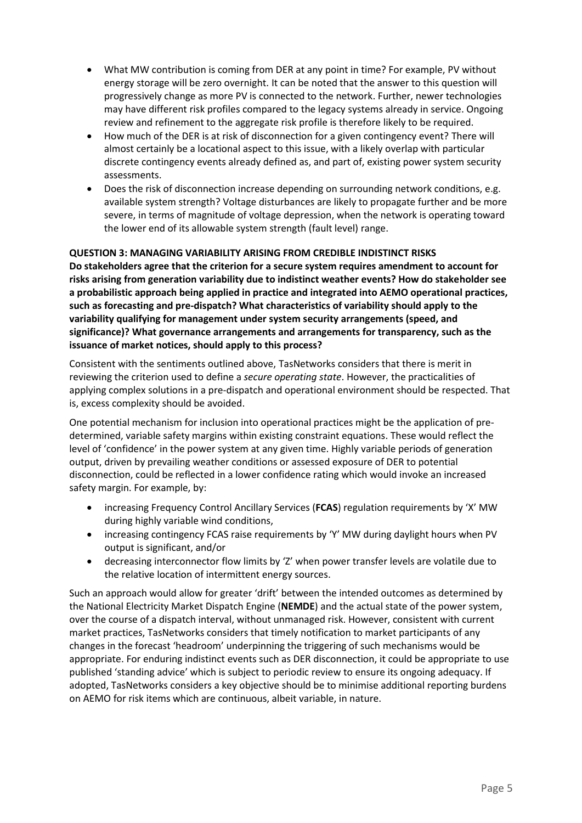- What MW contribution is coming from DER at any point in time? For example, PV without energy storage will be zero overnight. It can be noted that the answer to this question will progressively change as more PV is connected to the network. Further, newer technologies may have different risk profiles compared to the legacy systems already in service. Ongoing review and refinement to the aggregate risk profile is therefore likely to be required.
- How much of the DER is at risk of disconnection for a given contingency event? There will almost certainly be a locational aspect to this issue, with a likely overlap with particular discrete contingency events already defined as, and part of, existing power system security assessments.
- Does the risk of disconnection increase depending on surrounding network conditions, e.g. available system strength? Voltage disturbances are likely to propagate further and be more severe, in terms of magnitude of voltage depression, when the network is operating toward the lower end of its allowable system strength (fault level) range.

### **QUESTION 3: MANAGING VARIABILITY ARISING FROM CREDIBLE INDISTINCT RISKS**

**Do stakeholders agree that the criterion for a secure system requires amendment to account for risks arising from generation variability due to indistinct weather events? How do stakeholder see a probabilistic approach being applied in practice and integrated into AEMO operational practices, such as forecasting and pre-dispatch? What characteristics of variability should apply to the variability qualifying for management under system security arrangements (speed, and significance)? What governance arrangements and arrangements for transparency, such as the issuance of market notices, should apply to this process?**

Consistent with the sentiments outlined above, TasNetworks considers that there is merit in reviewing the criterion used to define a *secure operating state*. However, the practicalities of applying complex solutions in a pre-dispatch and operational environment should be respected. That is, excess complexity should be avoided.

One potential mechanism for inclusion into operational practices might be the application of predetermined, variable safety margins within existing constraint equations. These would reflect the level of 'confidence' in the power system at any given time. Highly variable periods of generation output, driven by prevailing weather conditions or assessed exposure of DER to potential disconnection, could be reflected in a lower confidence rating which would invoke an increased safety margin. For example, by:

- increasing Frequency Control Ancillary Services (**FCAS**) regulation requirements by 'X' MW during highly variable wind conditions,
- increasing contingency FCAS raise requirements by 'Y' MW during daylight hours when PV output is significant, and/or
- decreasing interconnector flow limits by 'Z' when power transfer levels are volatile due to the relative location of intermittent energy sources.

Such an approach would allow for greater 'drift' between the intended outcomes as determined by the National Electricity Market Dispatch Engine (**NEMDE**) and the actual state of the power system, over the course of a dispatch interval, without unmanaged risk. However, consistent with current market practices, TasNetworks considers that timely notification to market participants of any changes in the forecast 'headroom' underpinning the triggering of such mechanisms would be appropriate. For enduring indistinct events such as DER disconnection, it could be appropriate to use published 'standing advice' which is subject to periodic review to ensure its ongoing adequacy. If adopted, TasNetworks considers a key objective should be to minimise additional reporting burdens on AEMO for risk items which are continuous, albeit variable, in nature.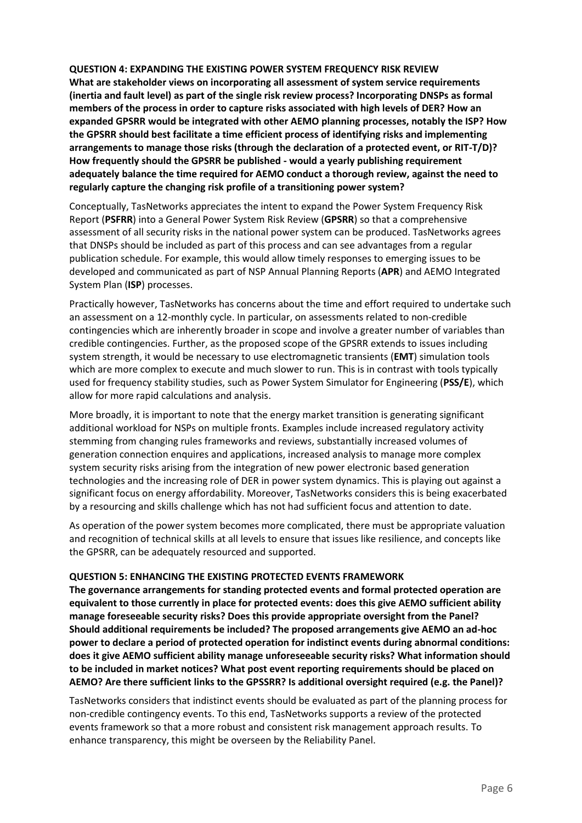### **QUESTION 4: EXPANDING THE EXISTING POWER SYSTEM FREQUENCY RISK REVIEW**

**What are stakeholder views on incorporating all assessment of system service requirements (inertia and fault level) as part of the single risk review process? Incorporating DNSPs as formal members of the process in order to capture risks associated with high levels of DER? How an expanded GPSRR would be integrated with other AEMO planning processes, notably the ISP? How the GPSRR should best facilitate a time efficient process of identifying risks and implementing arrangements to manage those risks (through the declaration of a protected event, or RIT-T/D)? How frequently should the GPSRR be published - would a yearly publishing requirement adequately balance the time required for AEMO conduct a thorough review, against the need to regularly capture the changing risk profile of a transitioning power system?**

Conceptually, TasNetworks appreciates the intent to expand the Power System Frequency Risk Report (**PSFRR**) into a General Power System Risk Review (**GPSRR**) so that a comprehensive assessment of all security risks in the national power system can be produced. TasNetworks agrees that DNSPs should be included as part of this process and can see advantages from a regular publication schedule. For example, this would allow timely responses to emerging issues to be developed and communicated as part of NSP Annual Planning Reports (**APR**) and AEMO Integrated System Plan (**ISP**) processes.

Practically however, TasNetworks has concerns about the time and effort required to undertake such an assessment on a 12-monthly cycle. In particular, on assessments related to non-credible contingencies which are inherently broader in scope and involve a greater number of variables than credible contingencies. Further, as the proposed scope of the GPSRR extends to issues including system strength, it would be necessary to use electromagnetic transients (**EMT**) simulation tools which are more complex to execute and much slower to run. This is in contrast with tools typically used for frequency stability studies, such as Power System Simulator for Engineering (**PSS/E**), which allow for more rapid calculations and analysis.

More broadly, it is important to note that the energy market transition is generating significant additional workload for NSPs on multiple fronts. Examples include increased regulatory activity stemming from changing rules frameworks and reviews, substantially increased volumes of generation connection enquires and applications, increased analysis to manage more complex system security risks arising from the integration of new power electronic based generation technologies and the increasing role of DER in power system dynamics. This is playing out against a significant focus on energy affordability. Moreover, TasNetworks considers this is being exacerbated by a resourcing and skills challenge which has not had sufficient focus and attention to date.

As operation of the power system becomes more complicated, there must be appropriate valuation and recognition of technical skills at all levels to ensure that issues like resilience, and concepts like the GPSRR, can be adequately resourced and supported.

#### **QUESTION 5: ENHANCING THE EXISTING PROTECTED EVENTS FRAMEWORK**

**The governance arrangements for standing protected events and formal protected operation are equivalent to those currently in place for protected events: does this give AEMO sufficient ability manage foreseeable security risks? Does this provide appropriate oversight from the Panel? Should additional requirements be included? The proposed arrangements give AEMO an ad-hoc power to declare a period of protected operation for indistinct events during abnormal conditions: does it give AEMO sufficient ability manage unforeseeable security risks? What information should to be included in market notices? What post event reporting requirements should be placed on AEMO? Are there sufficient links to the GPSSRR? Is additional oversight required (e.g. the Panel)?**

TasNetworks considers that indistinct events should be evaluated as part of the planning process for non-credible contingency events. To this end, TasNetworks supports a review of the protected events framework so that a more robust and consistent risk management approach results. To enhance transparency, this might be overseen by the Reliability Panel.